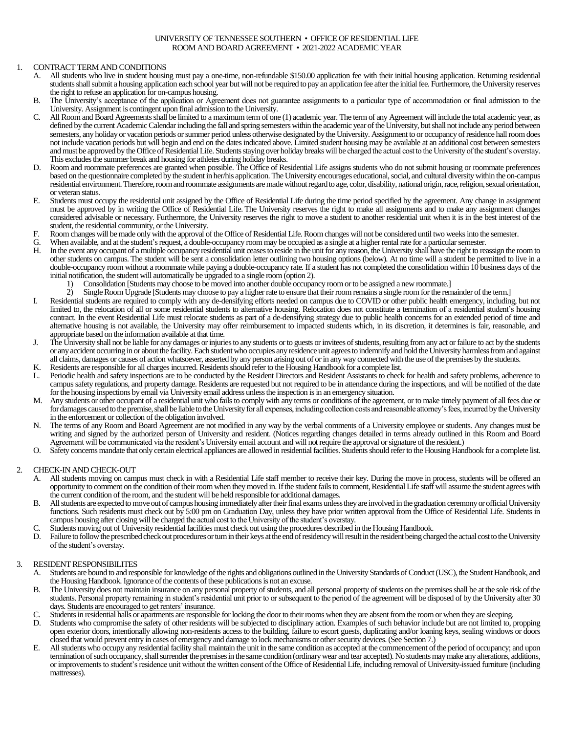# UNIVERSITY OF TENNESSEE SOUTHERN • OFFICE OF RESIDENTIAL LIFE ROOM AND BOARD AGREEMENT • 2021-2022 ACADEMIC YEAR

# 1. CONTRACT TERM AND CONDITIONS

- A. All students who live in student housing must pay a one-time, non-refundable \$150.00 application fee with their initial housing application. Returning residential students shall submit a housing application each school year but will not be required to pay an application fee after the initial fee. Furthermore, the University reserves the right to refuse an application for on-campus housing.
- B. The University's acceptance of the application or Agreement does not guarantee assignments to a particular type of accommodation or final admission to the University. Assignment is contingent upon final admission to the University.
- C. All Room and Board Agreementsshall be limited to a maximum term of one (1) academic year. The term of any Agreement will include the total academic year, as defined by the current Academic Calendar including the fall and spring semesters within the academic year of the University, but shall not include any period between semesters, any holiday or vacation periods or summer period unless otherwise designated by the University. Assignment to or occupancy of residence hall room does not include vacation periods but will begin and end on the dates indicated above. Limited student housing may be available at an additional cost between semesters and must be approved by the Office of Residential Life. Students staying over holiday breaks will be charged the actual cost to the University of the student's overstay. This excludes the summer break and housing for athletes during holiday breaks.
- D. Room and roommate preferences are granted when possible. The Office of Residential Life assigns students who do not submit housing or roommate preferences based on the questionnaire completed by the student in her/his application. The University encourages educational, social, and cultural diversity within the on-campus residential environment. Therefore,roomand roommate assignments are made without regard to age, color, disability, national origin, race, religion, sexual orientation, or veteran status.
- E. Students must occupy the residential unit assigned by the Office of Residential Life during the time period specified by the agreement. Any change in assignment must be approved by in writing the Office of Residential Life. The University reserves the right to make all assignments and to make any assignment changes considered advisable or necessary. Furthermore, the University reserves the right to move a student to another residential unit when it is in the best interest of the student, the residential community, or the University.
- F. Room changes will be made only with the approval of the Office of Residential Life.Room changes will not be considered until two weeks into the semester.
- G. When available, and at the student's request, a double-occupancy room may be occupied as a single at a higher rental rate for a particularsemester.
- H. In the event any occupant of a multiple occupancy residential unit ceases to reside in the unit for any reason, the University shall have the right to reassign the roomto other students on campus. The student will be sent a consolidation letter outlining two housing options (below). At no time will a student be permitted to live in a double-occupancy room without a roommate while paying a double-occupancy rate. If a student has not completed the consolidation within 10 business days of the initial notification, the student will automatically be upgraded to a single room (option 2).
	- 1) Consolidation [Students may choose to be moved into another double occupancy room or to be assigned a new roommate.]
- 2) Single Room Upgrade [Students may choose to pay a higher rate to ensure that their room remains a single room for the remainder of the term.] I. Residential students are required to comply with any de-densifying efforts needed on campus due to COVID or other public health emergency, including, but not limited to, the relocation of all or some residential students to alternative housing. Relocation does not constitute a termination of a residential student's housing
- contract. In the event Residential Life must relocate students as part of a de-densifying strategy due to public health concerns for an extended period of time and alternative housing is not available, the University may offer reimbursement to impacted students which, in its discretion, it determines is fair, reasonable, and appropriate based on the information available at that time. J. The University shall not be liable for any damages or injuries to any students or to guests or invitees of students, resulting from any act or failure to act by the students
- or any accident occurring in or about the facility.Each studentwho occupies any residence unit agrees to indemnify and hold the University harmless from and against all claims, damages or causes of action whatsoever, asserted by any person arising out of or in any way connected with the use of the premises by the students.
- K. Residents are responsible for all charges incurred. Residents should refer to the Housing Handbook for a complete list.
- Periodic health and safety inspections are to be conducted by the Resident Directors and Resident Assistants to check for health and safety problems, adherence to campus safety regulations, and property damage. Residents are requested but not required to be in attendance during the inspections, and will be notified of the date for the housing inspections by email via University email address unless the inspection is in an emergency situation.
- M. Any students or other occupant of a residential unit who fails to comply with any terms or conditions of the agreement, or to make timely payment of all fees due or for damages caused to the premise, shall be liable to the University for all expenses, including collection costs and reasonable attorney's fees, incurred by the University in the enforcement or collection of the obligation involved.
- N. The terms of any Room and Board Agreement are not modified in any way by the verbal comments of a University employee or students. Any changes must be writing and signed by the authorized person of University and resident. (Notices regarding changes detailed in terms already outlined in this Room and Board Agreement will be communicated via the resident's University email account and will not require the approval or signature of the resident.)
- O. Safety concerns mandate that only certain electrical appliances are allowed in residential facilities. Students should refer to the Housing Handbook for a complete list.

### 2. CHECK-IN AND CHECK-OUT

- A. All students moving on campus must check in with a Residential Life staff member to receive their key. During the move in process, students will be offered an opportunity to comment on the condition of their room when they moved in. If the student fails to comment, Residential Life staff will assume the student agrees with the current condition of the room, and the student will be held responsible for additional damages.
- B. All students are expected to move out of campus housing immediately after their final exams unless they are involved in the graduation ceremony or official University functions. Such residents must check out by 5:00 pm on Graduation Day, unless they have prior written approval from the Office of Residential Life. Students in campus housing after closing will be charged the actual cost to the University of the student's overstay.
- C. Students moving out of University residential facilities must check out using the procedures described in the Housing Handbook.
- D. Failure to follow the prescribed check out procedures or turn in their keys at the end of residency will result in the resident being charged the actual cost to the University of the student's overstay.

### 3. RESIDENT RESPONSIBILITES

- A. Students are bound to and responsible for knowledge of the rights and obligations outlined in the University Standards of Conduct (USC), the Student Handbook, and the Housing Handbook. Ignorance of the contents of these publications is not an excuse.
- B. The University does not maintain insurance on any personal property of students, and all personal property of students on the premises shall be at the sole risk of the students. Personal property remaining in student's residential unit prior to or subsequent to the period of the agreement will be disposed of by the University after 30 days. Students are encouraged to get renters' insurance.
- C. Students in residential halls or apartments are responsible for locking the door to their rooms when they are absent from the room or when they are sleeping.
- Students who compromise the safety of other residents will be subjected to disciplinary action. Examples of such behavior include but are not limited to, propping open exterior doors, intentionally allowing non-residents access to the building, failure to escort guests, duplicating and/or loaning keys, sealing windows or doors closed that would prevent entry in cases of emergency and damage to lock mechanisms or other security devices. (See Section 7.)
- E. All students who occupy any residential facility shall maintain the unit in the same condition as accepted at the commencement of the period of occupancy; and upon termination of such occupancy, shall surrender the premises in the same condition (ordinary wear and tear accepted). No students may make any alterations, additions, or improvements to student's residence unit without the written consent of the Office of Residential Life, including removal of University-issued furniture (including mattresses).